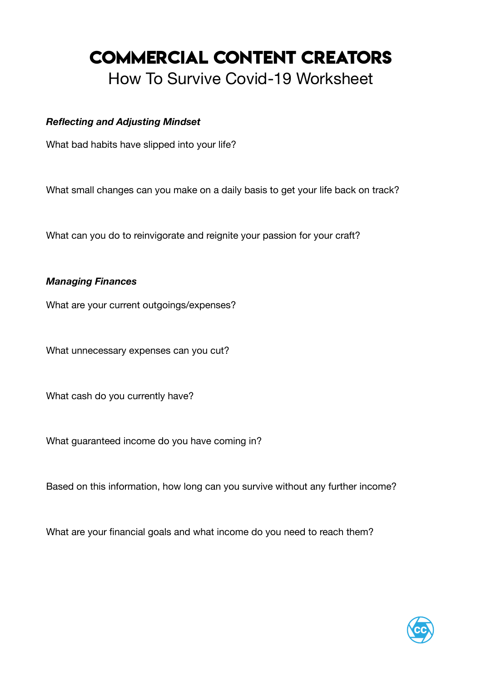# **COMMERCIAL CONTENT CREATORS**  How To Survive Covid-19 Worksheet

## *Reflecting and Adjusting Mindset*

What bad habits have slipped into your life?

What small changes can you make on a daily basis to get your life back on track?

What can you do to reinvigorate and reignite your passion for your craft?

## *Managing Finances*

What are your current outgoings/expenses?

What unnecessary expenses can you cut?

What cash do you currently have?

What guaranteed income do you have coming in?

Based on this information, how long can you survive without any further income?

What are your financial goals and what income do you need to reach them?